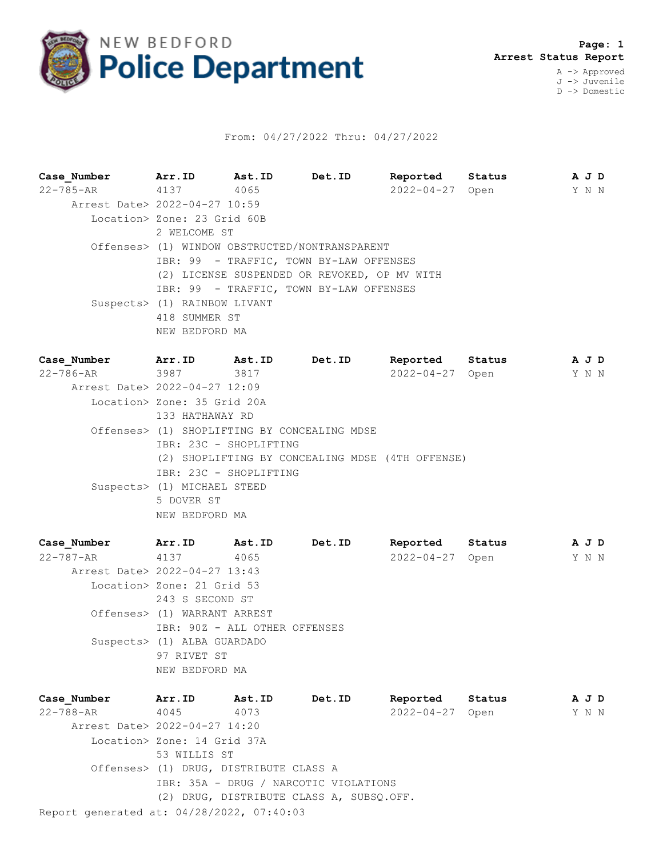

## From: 04/27/2022 Thru: 04/27/2022

**Case\_Number Arr.ID Ast.ID Det.ID Reported Status A J D** 22-785-AR 4137 4065 2022-04-27 Open Y N N Arrest Date> 2022-04-27 10:59 Location> Zone: 23 Grid 60B 2 WELCOME ST Offenses> (1) WINDOW OBSTRUCTED/NONTRANSPARENT IBR: 99 - TRAFFIC, TOWN BY-LAW OFFENSES (2) LICENSE SUSPENDED OR REVOKED, OP MV WITH IBR: 99 - TRAFFIC, TOWN BY-LAW OFFENSES Suspects> (1) RAINBOW LIVANT 418 SUMMER ST NEW BEDFORD MA

**Case\_Number Arr.ID Ast.ID Det.ID Reported Status A J D** 22-786-AR 3987 3817 2022-04-27 Open Y N N Arrest Date> 2022-04-27 12:09 Location> Zone: 35 Grid 20A 133 HATHAWAY RD Offenses> (1) SHOPLIFTING BY CONCEALING MDSE IBR: 23C - SHOPLIFTING (2) SHOPLIFTING BY CONCEALING MDSE (4TH OFFENSE) IBR: 23C - SHOPLIFTING Suspects> (1) MICHAEL STEED 5 DOVER ST NEW BEDFORD MA

**Case\_Number Arr.ID Ast.ID Det.ID Reported Status A J D** 22-787-AR 4137 4065 2022-04-27 Open Y N N Arrest Date> 2022-04-27 13:43 Location> Zone: 21 Grid 53 243 S SECOND ST Offenses> (1) WARRANT ARREST IBR: 90Z - ALL OTHER OFFENSES Suspects> (1) ALBA GUARDADO 97 RIVET ST NEW BEDFORD MA

Report generated at: 04/28/2022, 07:40:03 **Case\_Number Arr.ID Ast.ID Det.ID Reported Status A J D** 22-788-AR 4045 4073 2022-04-27 Open Y N N Arrest Date> 2022-04-27 14:20 Location> Zone: 14 Grid 37A 53 WILLIS ST Offenses> (1) DRUG, DISTRIBUTE CLASS A IBR: 35A - DRUG / NARCOTIC VIOLATIONS (2) DRUG, DISTRIBUTE CLASS A, SUBSQ.OFF.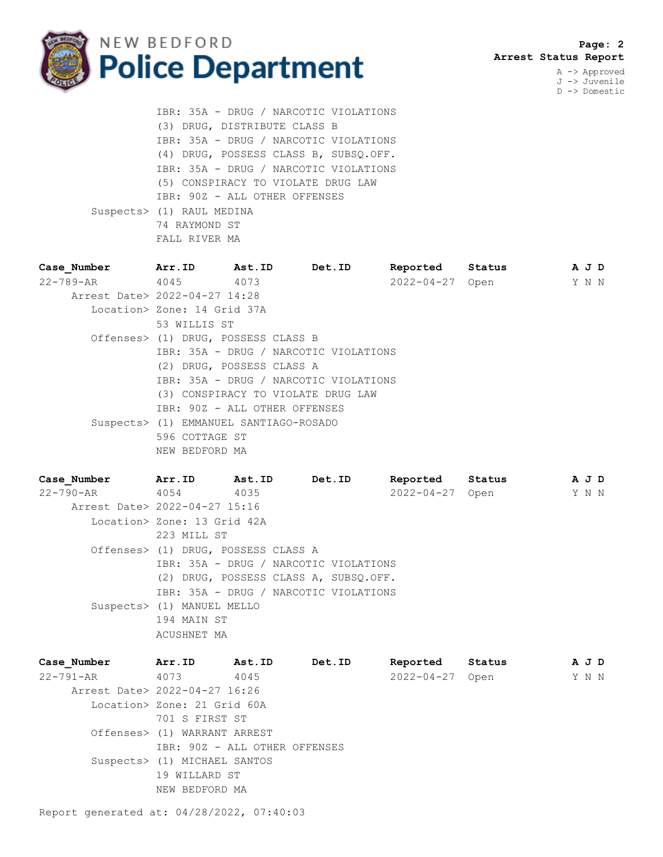

 **Page: 2 Arrest Status Report**

A -> Approved J -> Juvenile D -> Domestic

 IBR: 35A - DRUG / NARCOTIC VIOLATIONS (3) DRUG, DISTRIBUTE CLASS B IBR: 35A - DRUG / NARCOTIC VIOLATIONS (4) DRUG, POSSESS CLASS B, SUBSQ.OFF. IBR: 35A - DRUG / NARCOTIC VIOLATIONS (5) CONSPIRACY TO VIOLATE DRUG LAW IBR: 90Z - ALL OTHER OFFENSES Suspects> (1) RAUL MEDINA 74 RAYMOND ST FALL RIVER MA

| Case Number                   | Arr.ID                                 | <b>Ast.ID</b>                         | <b>Det.ID</b>                         | Reported        | Status |  | A J D |  |  |  |
|-------------------------------|----------------------------------------|---------------------------------------|---------------------------------------|-----------------|--------|--|-------|--|--|--|
| 22-789-AR 4045 4073           |                                        |                                       |                                       | 2022-04-27 Open |        |  | Y N N |  |  |  |
| Arrest Date> 2022-04-27 14:28 |                                        |                                       |                                       |                 |        |  |       |  |  |  |
|                               |                                        | Location> Zone: 14 Grid 37A           |                                       |                 |        |  |       |  |  |  |
|                               | 53 WILLIS ST                           |                                       |                                       |                 |        |  |       |  |  |  |
|                               | Offenses> (1) DRUG, POSSESS CLASS B    |                                       |                                       |                 |        |  |       |  |  |  |
|                               |                                        | IBR: 35A - DRUG / NARCOTIC VIOLATIONS |                                       |                 |        |  |       |  |  |  |
|                               | (2) DRUG, POSSESS CLASS A              |                                       |                                       |                 |        |  |       |  |  |  |
|                               |                                        |                                       | IBR: 35A - DRUG / NARCOTIC VIOLATIONS |                 |        |  |       |  |  |  |
|                               |                                        |                                       | (3) CONSPIRACY TO VIOLATE DRUG LAW    |                 |        |  |       |  |  |  |
|                               | IBR: 90Z - ALL OTHER OFFENSES          |                                       |                                       |                 |        |  |       |  |  |  |
|                               | Suspects> (1) EMMANUEL SANTIAGO-ROSADO |                                       |                                       |                 |        |  |       |  |  |  |
|                               | 596 COTTAGE ST                         |                                       |                                       |                 |        |  |       |  |  |  |
|                               | NEW BEDFORD MA                         |                                       |                                       |                 |        |  |       |  |  |  |

**Case\_Number Arr.ID Ast.ID Det.ID Reported Status A J D** 22-790-AR 4054 4035 2022-04-27 Open Y N N Arrest Date> 2022-04-27 15:16 Location> Zone: 13 Grid 42A 223 MILL ST Offenses> (1) DRUG, POSSESS CLASS A IBR: 35A - DRUG / NARCOTIC VIOLATIONS (2) DRUG, POSSESS CLASS A, SUBSQ.OFF. IBR: 35A - DRUG / NARCOTIC VIOLATIONS Suspects> (1) MANUEL MELLO 194 MAIN ST ACUSHNET MA

| Case Number                   | Arr.ID                       | Ast.ID                        | Det.ID | Reported   | Status | A J D |  |
|-------------------------------|------------------------------|-------------------------------|--------|------------|--------|-------|--|
| 22-791-AR 4073                |                              | 4045                          |        | 2022-04-27 | Open   | Y N N |  |
| Arrest Date> 2022-04-27 16:26 |                              |                               |        |            |        |       |  |
|                               | Location> Zone: 21 Grid 60A  |                               |        |            |        |       |  |
|                               | 701 S FIRST ST               |                               |        |            |        |       |  |
|                               | Offenses> (1) WARRANT ARREST |                               |        |            |        |       |  |
|                               |                              | IBR: 90Z - ALL OTHER OFFENSES |        |            |        |       |  |
|                               | Suspects> (1) MICHAEL SANTOS |                               |        |            |        |       |  |
|                               | 19 WILLARD ST                |                               |        |            |        |       |  |
|                               | NEW BEDFORD MA               |                               |        |            |        |       |  |
|                               |                              |                               |        |            |        |       |  |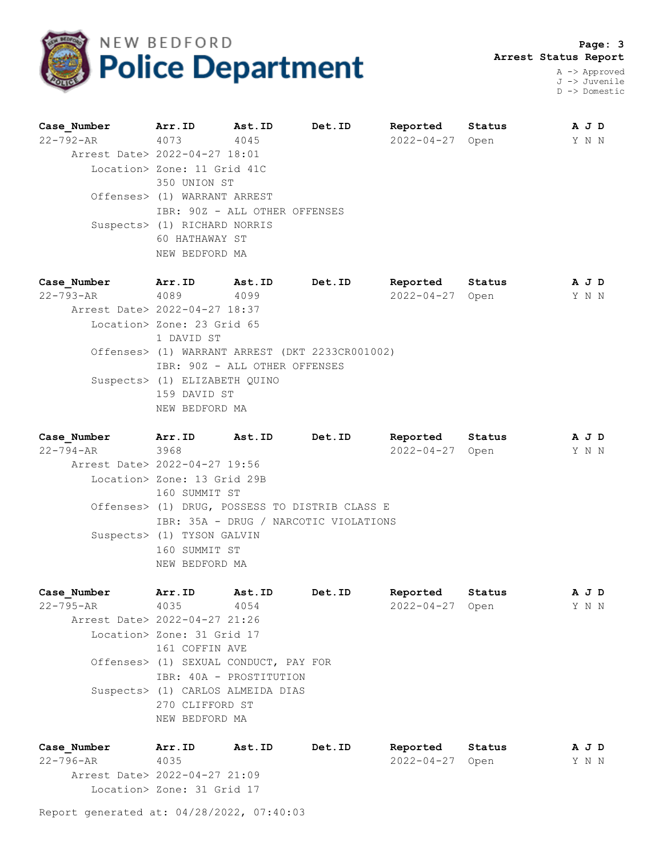

 **Page: 3 Arrest Status Report**

A -> Approved J -> Juvenile D -> Domestic

| Case Number                   | Arr.ID                        | Ast.ID | Det.ID | Reported   | Status | A J D |
|-------------------------------|-------------------------------|--------|--------|------------|--------|-------|
| 22-792-AR 4073                |                               | 4045   |        | 2022-04-27 | Open   | Y N N |
| Arrest Date> 2022-04-27 18:01 |                               |        |        |            |        |       |
|                               | Location> Zone: 11 Grid 41C   |        |        |            |        |       |
|                               | 350 UNION ST                  |        |        |            |        |       |
|                               | Offenses> (1) WARRANT ARREST  |        |        |            |        |       |
|                               | IBR: 90Z - ALL OTHER OFFENSES |        |        |            |        |       |
|                               | Suspects> (1) RICHARD NORRIS  |        |        |            |        |       |
|                               | 60 HATHAWAY ST                |        |        |            |        |       |
|                               | NEW BEDFORD MA                |        |        |            |        |       |
|                               |                               |        |        |            |        |       |

**Case\_Number Arr.ID Ast.ID Det.ID Reported Status A J D** 22-793-AR 4089 4099 2022-04-27 Open Y N N Arrest Date> 2022-04-27 18:37 Location> Zone: 23 Grid 65 1 DAVID ST Offenses> (1) WARRANT ARREST (DKT 2233CR001002) IBR: 90Z - ALL OTHER OFFENSES Suspects> (1) ELIZABETH QUINO 159 DAVID ST NEW BEDFORD MA

**Case\_Number Arr.ID Ast.ID Det.ID Reported Status A J D** 22-794-AR 3968 2022-04-27 Open Y N N Arrest Date> 2022-04-27 19:56 Location> Zone: 13 Grid 29B 160 SUMMIT ST Offenses> (1) DRUG, POSSESS TO DISTRIB CLASS E IBR: 35A - DRUG / NARCOTIC VIOLATIONS Suspects> (1) TYSON GALVIN 160 SUMMIT ST NEW BEDFORD MA

| Case Number                   | Arr.ID                     | Ast.ID                                | Det.ID | Reported         | Status | A J D |  |
|-------------------------------|----------------------------|---------------------------------------|--------|------------------|--------|-------|--|
| 22-795-AR                     | 4035                       | 4054                                  |        | $2022 - 04 - 27$ | Open   | Y N N |  |
| Arrest Date> 2022-04-27 21:26 |                            |                                       |        |                  |        |       |  |
|                               | Location> Zone: 31 Grid 17 |                                       |        |                  |        |       |  |
|                               | 161 COFFIN AVE             |                                       |        |                  |        |       |  |
|                               |                            | Offenses> (1) SEXUAL CONDUCT, PAY FOR |        |                  |        |       |  |
|                               |                            | IBR: 40A - PROSTITUTION               |        |                  |        |       |  |
|                               |                            | Suspects> (1) CARLOS ALMEIDA DIAS     |        |                  |        |       |  |
|                               | 270 CLIFFORD ST            |                                       |        |                  |        |       |  |
|                               | NEW BEDFORD MA             |                                       |        |                  |        |       |  |
|                               |                            |                                       |        |                  |        |       |  |

**Case\_Number Arr.ID Ast.ID Det.ID Reported Status A J D** 22-796-AR 4035 2022-04-27 Open Y N N Arrest Date> 2022-04-27 21:09 Location> Zone: 31 Grid 17

Report generated at: 04/28/2022, 07:40:03